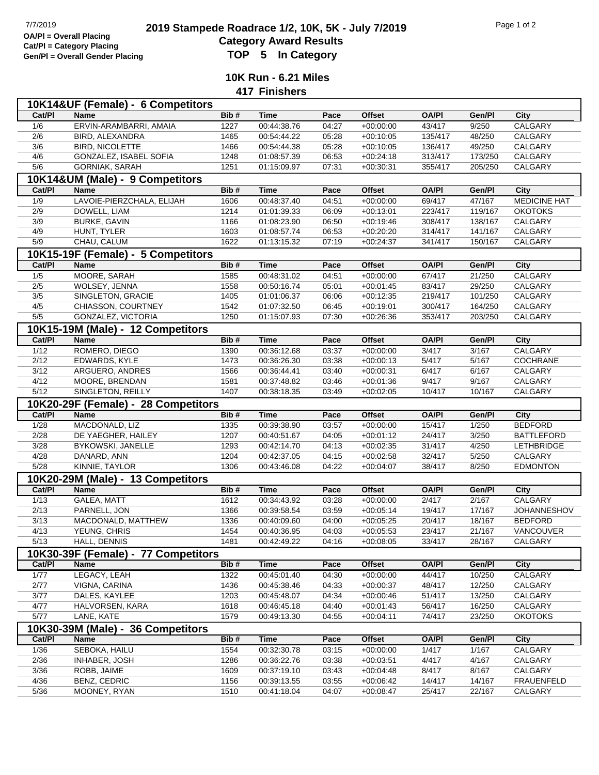## **2019 2019 Stampede Roadrace 1/2, 10K, 5K - July 7/2019** Page 1 of 2<br> **Cotogory Award Bosylts** Pagulta **Category Award Results Gen/Pl = Overall Gender Placing TOP 5 In Category**

**10K Run - 6.21 Miles**

**417 Finishers**

|                                     | 10K14&UF (Female) - 6 Competitors   |              |             |       |               |                  |         |                     |  |
|-------------------------------------|-------------------------------------|--------------|-------------|-------|---------------|------------------|---------|---------------------|--|
| Cat/PI                              | <b>Name</b>                         | Bib#         | <b>Time</b> | Pace  | Offset        | <b>OA/PI</b>     | Gen/Pl  | City                |  |
| 1/6                                 | ERVIN-ARAMBARRI, AMAIA              | 1227         | 00:44:38.76 | 04:27 | $+00:00:00$   | 43/417           | 9/250   | <b>CALGARY</b>      |  |
| 2/6                                 | BIRD, ALEXANDRA                     | 1465         | 00:54:44.22 | 05:28 | $+00:10:05$   | 135/417          | 48/250  | <b>CALGARY</b>      |  |
| 3/6                                 | <b>BIRD, NICOLETTE</b>              | 1466         | 00:54:44.38 | 05:28 | $+00:10:05$   | 136/417          | 49/250  | CALGARY             |  |
| 4/6                                 | GONZALEZ, ISABEL SOFIA              | 1248         | 01:08:57.39 | 06:53 | $+00:24:18$   | 313/417          | 173/250 | CALGARY             |  |
| 5/6                                 | GORNIAK, SARAH                      | 1251         | 01:15:09.97 | 07:31 | $+00:30:31$   | 355/417          | 205/250 | CALGARY             |  |
|                                     | 10K14&UM (Male) - 9 Competitors     |              |             |       |               |                  |         |                     |  |
| Cat/PI                              | <b>Name</b>                         | Bib#         | <b>Time</b> | Pace  | <b>Offset</b> | <b>OA/PI</b>     | Gen/Pl  | City                |  |
| 1/9                                 | LAVOIE-PIERZCHALA, ELIJAH           | 1606         | 00:48:37.40 | 04:51 | $+00:00:00$   | 69/417           | 47/167  | <b>MEDICINE HAT</b> |  |
| 2/9                                 | DOWELL, LIAM                        | 1214         | 01:01:39.33 | 06:09 | $+00:13:01$   | 223/417          | 119/167 | <b>OKOTOKS</b>      |  |
| 3/9                                 | <b>BURKE, GAVIN</b>                 | 1166         | 01:08:23.90 | 06:50 | $+00:19:46$   | 308/417          | 138/167 | CALGARY             |  |
| 4/9                                 | HUNT, TYLER                         | 1603         | 01:08:57.74 | 06:53 | $+00:20:20$   | 314/417          | 141/167 | CALGARY             |  |
| 5/9                                 | CHAU, CALUM                         | 1622         | 01:13:15.32 | 07:19 | $+00:24:37$   | 341/417          | 150/167 | CALGARY             |  |
|                                     | 10K15-19F (Female) - 5 Competitors  |              |             |       |               |                  |         |                     |  |
| Cat/PI                              | <b>Name</b>                         | Bib#         | <b>Time</b> | Pace  | <b>Offset</b> | <b>OA/PI</b>     | Gen/Pl  | <b>City</b>         |  |
| 1/5                                 | MOORE, SARAH                        | 1585         | 00:48:31.02 | 04:51 | $+00:00:00$   | 67/417           | 21/250  | CALGARY             |  |
| 2/5                                 | WOLSEY, JENNA                       | 1558         | 00:50:16.74 | 05:01 | $+00:01:45$   | 83/417           | 29/250  | CALGARY             |  |
| 3/5                                 | SINGLETON, GRACIE                   | 1405         | 01:01:06.37 | 06:06 | $+00:12:35$   | 219/417          | 101/250 | CALGARY             |  |
| 4/5                                 | CHIASSON, COURTNEY                  | 1542         | 01:07:32.50 | 06:45 | $+00:19:01$   | 300/417          | 164/250 | CALGARY             |  |
| 5/5                                 | GONZALEZ, VICTORIA                  | 1250         | 01:15:07.93 | 07:30 | $+00:26:36$   | 353/417          | 203/250 | CALGARY             |  |
|                                     | 10K15-19M (Male) - 12 Competitors   |              |             |       |               |                  |         |                     |  |
| Cat/PI                              | <b>Name</b>                         | Bib#         | <b>Time</b> | Pace  | <b>Offset</b> | <b>OA/PI</b>     | Gen/Pl  | City                |  |
| 1/12                                | ROMERO, DIEGO                       | 1390         | 00:36:12.68 | 03:37 | $+00:00:00$   | 3/417            | 3/167   | <b>CALGARY</b>      |  |
| 2/12                                | EDWARDS, KYLE                       | 1473         | 00:36:26.30 | 03:38 | $+00:00:13$   | 5/417            | 5/167   | COCHRANE            |  |
| 3/12                                | ARGUERO, ANDRES                     | 1566         | 00:36:44.41 | 03:40 | $+00:00:31$   | 6/417            | 6/167   | CALGARY             |  |
| 4/12                                | MOORE, BRENDAN                      | 1581         | 00:37:48.82 | 03:46 | $+00:01:36$   | 9/417            | 9/167   | CALGARY             |  |
| 5/12                                | SINGLETON, REILLY                   | 1407         | 00:38:18.35 | 03:49 | $+00:02:05$   | 10/417           | 10/167  | CALGARY             |  |
| 10K20-29F (Female) - 28 Competitors |                                     |              |             |       |               |                  |         |                     |  |
|                                     |                                     |              |             |       |               |                  |         |                     |  |
| Cat/PI                              | Name                                | Bib#         | Time        | Pace  | <b>Offset</b> | <b>OA/PI</b>     | Gen/Pl  | City                |  |
| 1/28                                | MACDONALD, LIZ                      | 1335         | 00:39:38.90 | 03:57 | $+00:00:00$   | 15/417           | 1/250   | <b>BEDFORD</b>      |  |
| 2/28                                | DE YAEGHER, HAILEY                  | 1207         | 00:40:51.67 | 04:05 | $+00:01:12$   | 24/417           | 3/250   | <b>BATTLEFORD</b>   |  |
| 3/28                                | BYKOWSKI, JANELLE                   | 1293         | 00:42:14.70 | 04:13 | $+00:02:35$   | 31/417           | 4/250   | LETHBRIDGE          |  |
| 4/28                                | DANARD, ANN                         | 1204         | 00:42:37.05 | 04:15 | $+00:02:58$   | 32/417           | 5/250   | CALGARY             |  |
| $5/28$                              | KINNIE, TAYLOR                      | 1306         | 00:43:46.08 | 04:22 | $+00.04:07$   | 38/417           | 8/250   | <b>EDMONTON</b>     |  |
|                                     | 10K20-29M (Male) - 13 Competitors   |              |             |       |               |                  |         |                     |  |
| Cat/PI                              | Name                                | Bib#         | <b>Time</b> | Pace  | <b>Offset</b> | <b>OA/PI</b>     | Gen/Pl  | City                |  |
| 1/13                                | GALEA, MATT                         | 1612         | 00:34:43.92 | 03:28 | $+00:00:00$   | 2/417            | 2/167   | CALGARY             |  |
| 2/13                                | PARNELL, JON                        | 1366         | 00:39:58.54 | 03:59 | $+00:05:14$   | 19/417           | 17/167  | JOHANNESHOV         |  |
| 3/13                                | MACDONALD, MATTHEW                  | 1336         | 00:40:09.60 | 04:00 | $+00:05:25$   | 20/417           | 18/167  | <b>BEDFORD</b>      |  |
| 4/13                                | YEUNG, CHRIS                        | 1454         | 00:40:36.95 | 04:03 | $+00:05:53$   | 23/417           | 21/167  | VANCOUVER           |  |
| 5/13                                | HALL, DENNIS                        | 1481         | 00:42:49.22 | 04:16 | $+00:08:05$   | 33/417           | 28/167  | CALGARY             |  |
|                                     | 10K30-39F (Female) - 77 Competitors |              |             |       |               |                  |         |                     |  |
| Cat/PI                              | <b>Name</b>                         | Bib#         | <b>Time</b> | Pace  | <b>Offset</b> | <b>OA/PI</b>     | Gen/Pl  | City                |  |
| 1/77                                | LEGACY, LEAH                        | 1322         | 00:45:01.40 | 04:30 | $+00:00:00$   | 44/417           | 10/250  | CALGARY             |  |
| 2/77                                | VIGNA, CARINA                       | 1436         | 00:45:38.46 | 04:33 | $+00:00:37$   | 48/417           | 12/250  | CALGARY             |  |
| 3/77                                | DALES, KAYLEE                       | 1203         | 00:45:48.07 | 04:34 | $+00:00:46$   | 51/417           | 13/250  | CALGARY             |  |
| 4/77                                | HALVORSEN, KARA                     | 1618         | 00:46:45.18 | 04:40 | $+00:01:43$   | 56/417           | 16/250  | CALGARY             |  |
| 5/77                                | LANE, KATE                          | 1579         | 00:49:13.30 | 04:55 | $+00:04:11$   | 74/417           | 23/250  | <b>OKOTOKS</b>      |  |
|                                     | 10K30-39M (Male) - 36 Competitors   |              |             |       |               |                  |         |                     |  |
| Cat/PI                              | <b>Name</b>                         | Bib#         | <b>Time</b> | Pace  | Offset        | <b>OA/PI</b>     | Gen/Pl  | City                |  |
| 1/36                                | SEBOKA, HAILU                       | 1554         | 00:32:30.78 | 03:15 | $+00:00:00$   | 1/417            | 1/167   | CALGARY             |  |
| 2/36                                | INHABER, JOSH                       | 1286         | 00:36:22.76 | 03:38 | $+00:03:51$   | 4/417            | 4/167   | CALGARY             |  |
| 3/36                                | ROBB, JAIME                         | 1609         | 00:37:19.10 | 03:43 | $+00:04:48$   | 8/417            | 8/167   | CALGARY             |  |
| 4/36<br>$5/36$                      | BENZ, CEDRIC                        | 1156<br>1510 | 00:39:13.55 | 03:55 | $+00:06:42$   | 14/417<br>25/417 | 14/167  | <b>FRAUENFELD</b>   |  |